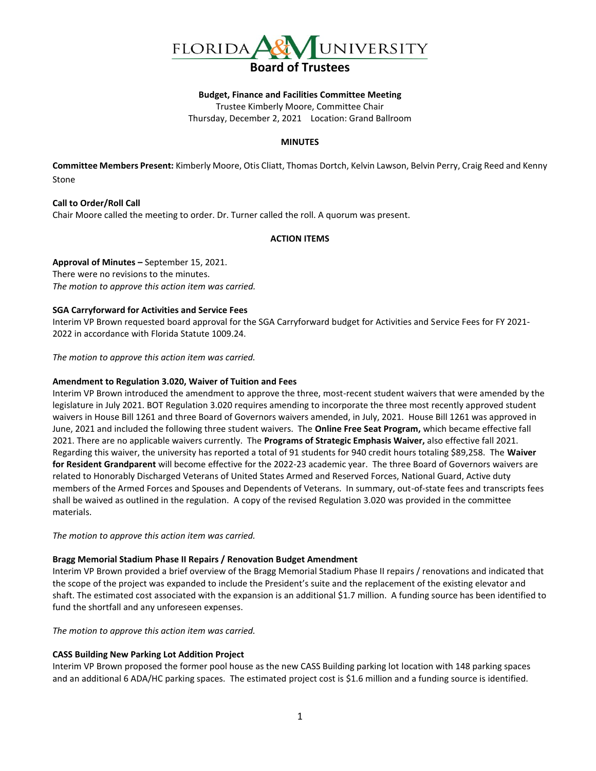

#### **Budget, Finance and Facilities Committee Meeting**

Trustee Kimberly Moore, Committee Chair

Thursday, December 2, 2021 Location: Grand Ballroom

#### **MINUTES**

**Committee Members Present:** Kimberly Moore, Otis Cliatt, Thomas Dortch, Kelvin Lawson, Belvin Perry, Craig Reed and Kenny Stone

**Call to Order/Roll Call** Chair Moore called the meeting to order. Dr. Turner called the roll. A quorum was present.

## **ACTION ITEMS**

**Approval of Minutes –** September 15, 2021. There were no revisions to the minutes. *The motion to approve this action item was carried.*

#### **SGA Carryforward for Activities and Service Fees**

Interim VP Brown requested board approval for the SGA Carryforward budget for Activities and Service Fees for FY 2021- 2022 in accordance with Florida Statute 1009.24.

*The motion to approve this action item was carried.*

#### **Amendment to Regulation 3.020, Waiver of Tuition and Fees**

Interim VP Brown introduced the amendment to approve the three, most-recent student waivers that were amended by the legislature in July 2021. BOT Regulation 3.020 requires amending to incorporate the three most recently approved student waivers in House Bill 1261 and three Board of Governors waivers amended, in July, 2021. House Bill 1261 was approved in June, 2021 and included the following three student waivers. The **Online Free Seat Program,** which became effective fall 2021. There are no applicable waivers currently. The **Programs of Strategic Emphasis Waiver,** also effective fall 2021. Regarding this waiver, the university has reported a total of 91 students for 940 credit hours totaling \$89,258. The **Waiver for Resident Grandparent** will become effective for the 2022-23 academic year. The three Board of Governors waivers are related to Honorably Discharged Veterans of United States Armed and Reserved Forces, National Guard, Active duty members of the Armed Forces and Spouses and Dependents of Veterans. In summary, out-of-state fees and transcripts fees shall be waived as outlined in the regulation. A copy of the revised Regulation 3.020 was provided in the committee materials.

*The motion to approve this action item was carried.*

#### **Bragg Memorial Stadium Phase II Repairs / Renovation Budget Amendment**

Interim VP Brown provided a brief overview of the Bragg Memorial Stadium Phase II repairs / renovations and indicated that the scope of the project was expanded to include the President's suite and the replacement of the existing elevator and shaft. The estimated cost associated with the expansion is an additional \$1.7 million. A funding source has been identified to fund the shortfall and any unforeseen expenses.

*The motion to approve this action item was carried.*

## **CASS Building New Parking Lot Addition Project**

Interim VP Brown proposed the former pool house as the new CASS Building parking lot location with 148 parking spaces and an additional 6 ADA/HC parking spaces. The estimated project cost is \$1.6 million and a funding source is identified.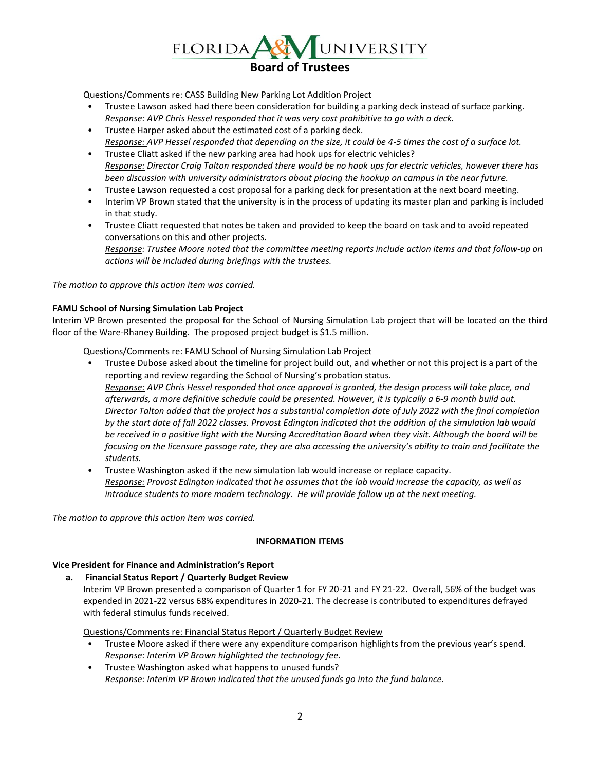

Questions/Comments re: CASS Building New Parking Lot Addition Project

- Trustee Lawson asked had there been consideration for building a parking deck instead of surface parking. *Response: AVP Chris Hessel responded that it was very cost prohibitive to go with a deck.*
- Trustee Harper asked about the estimated cost of a parking deck. *Response: AVP Hessel responded that depending on the size, it could be 4-5 times the cost of a surface lot.*
- Trustee Cliatt asked if the new parking area had hook ups for electric vehicles? *Response: Director Craig Talton responded there would be no hook ups for electric vehicles, however there has been discussion with university administrators about placing the hookup on campus in the near future.*
- Trustee Lawson requested a cost proposal for a parking deck for presentation at the next board meeting.
- Interim VP Brown stated that the university is in the process of updating its master plan and parking is included in that study.
- Trustee Cliatt requested that notes be taken and provided to keep the board on task and to avoid repeated conversations on this and other projects.

*Response: Trustee Moore noted that the committee meeting reports include action items and that follow-up on actions will be included during briefings with the trustees.*

*The motion to approve this action item was carried.*

## **FAMU School of Nursing Simulation Lab Project**

Interim VP Brown presented the proposal for the School of Nursing Simulation Lab project that will be located on the third floor of the Ware-Rhaney Building. The proposed project budget is \$1.5 million.

Questions/Comments re: FAMU School of Nursing Simulation Lab Project

- Trustee Dubose asked about the timeline for project build out, and whether or not this project is a part of the reporting and review regarding the School of Nursing's probation status. *Response: AVP Chris Hessel responded that once approval is granted, the design process will take place, and afterwards, a more definitive schedule could be presented. However, it is typically a 6-9 month build out. Director Talton added that the project has a substantial completion date of July 2022 with the final completion by the start date of fall 2022 classes. Provost Edington indicated that the addition of the simulation lab would be received in a positive light with the Nursing Accreditation Board when they visit. Although the board will be focusing on the licensure passage rate, they are also accessing the university's ability to train and facilitate the students.*
- Trustee Washington asked if the new simulation lab would increase or replace capacity. *Response: Provost Edington indicated that he assumes that the lab would increase the capacity, as well as introduce students to more modern technology. He will provide follow up at the next meeting.*

*The motion to approve this action item was carried.*

## **INFORMATION ITEMS**

## **Vice President for Finance and Administration's Report**

## **a. Financial Status Report / Quarterly Budget Review**

Interim VP Brown presented a comparison of Quarter 1 for FY 20-21 and FY 21-22. Overall, 56% of the budget was expended in 2021-22 versus 68% expenditures in 2020-21. The decrease is contributed to expenditures defrayed with federal stimulus funds received.

Questions/Comments re: Financial Status Report / Quarterly Budget Review

- Trustee Moore asked if there were any expenditure comparison highlights from the previous year's spend. *Response: Interim VP Brown highlighted the technology fee.*
- Trustee Washington asked what happens to unused funds? *Response: Interim VP Brown indicated that the unused funds go into the fund balance.*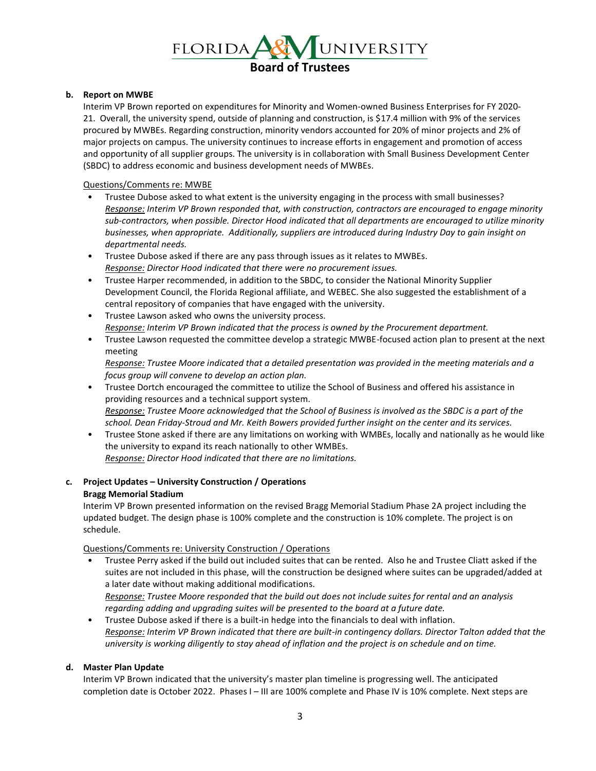

## **b. Report on MWBE**

Interim VP Brown reported on expenditures for Minority and Women-owned Business Enterprises for FY 2020- 21. Overall, the university spend, outside of planning and construction, is \$17.4 million with 9% of the services procured by MWBEs. Regarding construction, minority vendors accounted for 20% of minor projects and 2% of major projects on campus. The university continues to increase efforts in engagement and promotion of access and opportunity of all supplier groups. The university is in collaboration with Small Business Development Center (SBDC) to address economic and business development needs of MWBEs.

Questions/Comments re: MWBE

- Trustee Dubose asked to what extent is the university engaging in the process with small businesses? *Response: Interim VP Brown responded that, with construction, contractors are encouraged to engage minority sub-contractors, when possible. Director Hood indicated that all departments are encouraged to utilize minority businesses, when appropriate. Additionally, suppliers are introduced during Industry Day to gain insight on departmental needs.*
- Trustee Dubose asked if there are any pass through issues as it relates to MWBEs. *Response: Director Hood indicated that there were no procurement issues.*
- Trustee Harper recommended, in addition to the SBDC, to consider the National Minority Supplier Development Council, the Florida Regional affiliate, and WEBEC. She also suggested the establishment of a central repository of companies that have engaged with the university.
- Trustee Lawson asked who owns the university process. *Response: Interim VP Brown indicated that the process is owned by the Procurement department.*
- Trustee Lawson requested the committee develop a strategic MWBE-focused action plan to present at the next meeting

*Response: Trustee Moore indicated that a detailed presentation was provided in the meeting materials and a focus group will convene to develop an action plan.*

- Trustee Dortch encouraged the committee to utilize the School of Business and offered his assistance in providing resources and a technical support system. *Response: Trustee Moore acknowledged that the School of Business is involved as the SBDC is a part of the school. Dean Friday-Stroud and Mr. Keith Bowers provided further insight on the center and its services.*
- Trustee Stone asked if there are any limitations on working with WMBEs, locally and nationally as he would like the university to expand its reach nationally to other WMBEs. *Response: Director Hood indicated that there are no limitations.*

# **c. Project Updates – University Construction / Operations**

## **Bragg Memorial Stadium**

Interim VP Brown presented information on the revised Bragg Memorial Stadium Phase 2A project including the updated budget. The design phase is 100% complete and the construction is 10% complete. The project is on schedule.

Questions/Comments re: University Construction / Operations

- Trustee Perry asked if the build out included suites that can be rented. Also he and Trustee Cliatt asked if the suites are not included in this phase, will the construction be designed where suites can be upgraded/added at a later date without making additional modifications. *Response: Trustee Moore responded that the build out does not include suites for rental and an analysis regarding adding and upgrading suites will be presented to the board at a future date.*
- Trustee Dubose asked if there is a built-in hedge into the financials to deal with inflation. *Response: Interim VP Brown indicated that there are built-in contingency dollars. Director Talton added that the university is working diligently to stay ahead of inflation and the project is on schedule and on time.*

## **d. Master Plan Update**

Interim VP Brown indicated that the university's master plan timeline is progressing well. The anticipated completion date is October 2022. Phases I – III are 100% complete and Phase IV is 10% complete. Next steps are